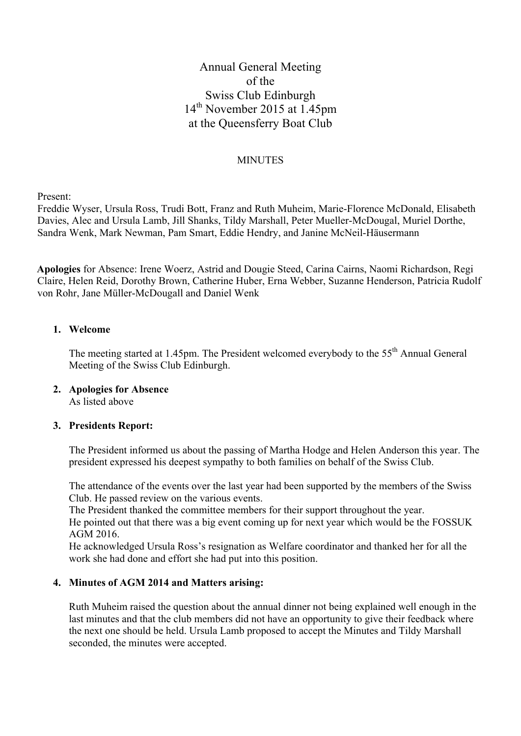# Annual General Meeting of the Swiss Club Edinburgh 14th November 2015 at 1.45pm at the Queensferry Boat Club

### **MINUTES**

Present:

Freddie Wyser, Ursula Ross, Trudi Bott, Franz and Ruth Muheim, Marie-Florence McDonald, Elisabeth Davies, Alec and Ursula Lamb, Jill Shanks, Tildy Marshall, Peter Mueller-McDougal, Muriel Dorthe, Sandra Wenk, Mark Newman, Pam Smart, Eddie Hendry, and Janine McNeil-Häusermann

**Apologies** for Absence: Irene Woerz, Astrid and Dougie Steed, Carina Cairns, Naomi Richardson, Regi Claire, Helen Reid, Dorothy Brown, Catherine Huber, Erna Webber, Suzanne Henderson, Patricia Rudolf von Rohr, Jane Müller-McDougall and Daniel Wenk

#### **1. Welcome**

The meeting started at 1.45pm. The President welcomed everybody to the 55<sup>th</sup> Annual General Meeting of the Swiss Club Edinburgh.

# **2. Apologies for Absence**

As listed above

#### **3. Presidents Report:**

The President informed us about the passing of Martha Hodge and Helen Anderson this year. The president expressed his deepest sympathy to both families on behalf of the Swiss Club.

The attendance of the events over the last year had been supported by the members of the Swiss Club. He passed review on the various events.

The President thanked the committee members for their support throughout the year.

He pointed out that there was a big event coming up for next year which would be the FOSSUK AGM 2016.

He acknowledged Ursula Ross's resignation as Welfare coordinator and thanked her for all the work she had done and effort she had put into this position.

#### **4. Minutes of AGM 2014 and Matters arising:**

Ruth Muheim raised the question about the annual dinner not being explained well enough in the last minutes and that the club members did not have an opportunity to give their feedback where the next one should be held. Ursula Lamb proposed to accept the Minutes and Tildy Marshall seconded, the minutes were accepted.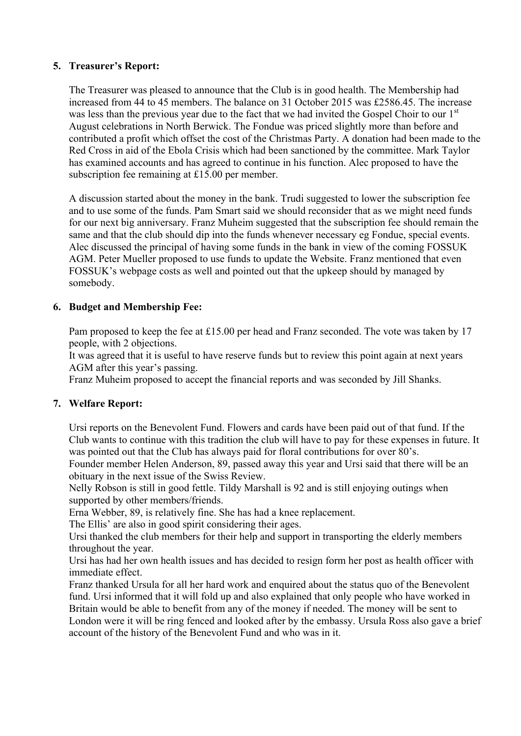# **5. Treasurer's Report:**

The Treasurer was pleased to announce that the Club is in good health. The Membership had increased from 44 to 45 members. The balance on 31 October 2015 was £2586.45. The increase was less than the previous year due to the fact that we had invited the Gospel Choir to our 1<sup>st</sup> August celebrations in North Berwick. The Fondue was priced slightly more than before and contributed a profit which offset the cost of the Christmas Party. A donation had been made to the Red Cross in aid of the Ebola Crisis which had been sanctioned by the committee. Mark Taylor has examined accounts and has agreed to continue in his function. Alec proposed to have the subscription fee remaining at £15.00 per member.

A discussion started about the money in the bank. Trudi suggested to lower the subscription fee and to use some of the funds. Pam Smart said we should reconsider that as we might need funds for our next big anniversary. Franz Muheim suggested that the subscription fee should remain the same and that the club should dip into the funds whenever necessary eg Fondue, special events. Alec discussed the principal of having some funds in the bank in view of the coming FOSSUK AGM. Peter Mueller proposed to use funds to update the Website. Franz mentioned that even FOSSUK's webpage costs as well and pointed out that the upkeep should by managed by somebody.

# **6. Budget and Membership Fee:**

Pam proposed to keep the fee at £15.00 per head and Franz seconded. The vote was taken by 17 people, with 2 objections.

It was agreed that it is useful to have reserve funds but to review this point again at next years AGM after this year's passing.

Franz Muheim proposed to accept the financial reports and was seconded by Jill Shanks.

# **7. Welfare Report:**

Ursi reports on the Benevolent Fund. Flowers and cards have been paid out of that fund. If the Club wants to continue with this tradition the club will have to pay for these expenses in future. It was pointed out that the Club has always paid for floral contributions for over 80's.

Founder member Helen Anderson, 89, passed away this year and Ursi said that there will be an obituary in the next issue of the Swiss Review.

Nelly Robson is still in good fettle. Tildy Marshall is 92 and is still enjoying outings when supported by other members/friends.

Erna Webber, 89, is relatively fine. She has had a knee replacement.

The Ellis' are also in good spirit considering their ages.

Ursi thanked the club members for their help and support in transporting the elderly members throughout the year.

Ursi has had her own health issues and has decided to resign form her post as health officer with immediate effect.

Franz thanked Ursula for all her hard work and enquired about the status quo of the Benevolent fund. Ursi informed that it will fold up and also explained that only people who have worked in Britain would be able to benefit from any of the money if needed. The money will be sent to London were it will be ring fenced and looked after by the embassy. Ursula Ross also gave a brief account of the history of the Benevolent Fund and who was in it.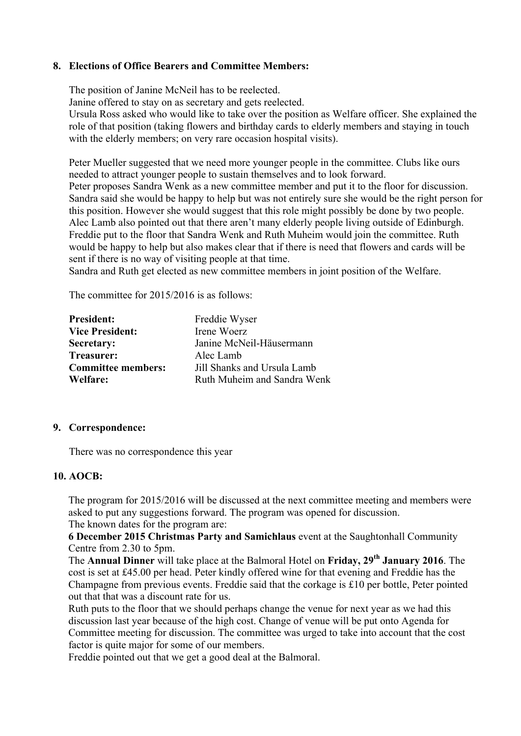#### **8. Elections of Office Bearers and Committee Members:**

The position of Janine McNeil has to be reelected.

Janine offered to stay on as secretary and gets reelected.

Ursula Ross asked who would like to take over the position as Welfare officer. She explained the role of that position (taking flowers and birthday cards to elderly members and staying in touch with the elderly members; on very rare occasion hospital visits).

Peter Mueller suggested that we need more younger people in the committee. Clubs like ours needed to attract younger people to sustain themselves and to look forward. Peter proposes Sandra Wenk as a new committee member and put it to the floor for discussion. Sandra said she would be happy to help but was not entirely sure she would be the right person for this position. However she would suggest that this role might possibly be done by two people. Alec Lamb also pointed out that there aren't many elderly people living outside of Edinburgh. Freddie put to the floor that Sandra Wenk and Ruth Muheim would join the committee. Ruth would be happy to help but also makes clear that if there is need that flowers and cards will be sent if there is no way of visiting people at that time.

Sandra and Ruth get elected as new committee members in joint position of the Welfare.

The committee for 2015/2016 is as follows:

| <b>President:</b>         | Freddie Wyser               |
|---------------------------|-----------------------------|
| <b>Vice President:</b>    | Irene Woerz                 |
| Secretary:                | Janine McNeil-Häusermann    |
| Treasurer:                | Alec Lamb                   |
| <b>Committee members:</b> | Jill Shanks and Ursula Lamb |
| Welfare:                  | Ruth Muheim and Sandra Wenk |

#### **9. Correspondence:**

There was no correspondence this year

# **10. AOCB:**

The program for 2015/2016 will be discussed at the next committee meeting and members were asked to put any suggestions forward. The program was opened for discussion. The known dates for the program are:

**6 December 2015 Christmas Party and Samichlaus** event at the Saughtonhall Community Centre from 2.30 to 5pm.

The **Annual Dinner** will take place at the Balmoral Hotel on **Friday, 29th January 2016**. The cost is set at £45.00 per head. Peter kindly offered wine for that evening and Freddie has the Champagne from previous events. Freddie said that the corkage is £10 per bottle, Peter pointed out that that was a discount rate for us.

Ruth puts to the floor that we should perhaps change the venue for next year as we had this discussion last year because of the high cost. Change of venue will be put onto Agenda for Committee meeting for discussion. The committee was urged to take into account that the cost factor is quite major for some of our members.

Freddie pointed out that we get a good deal at the Balmoral.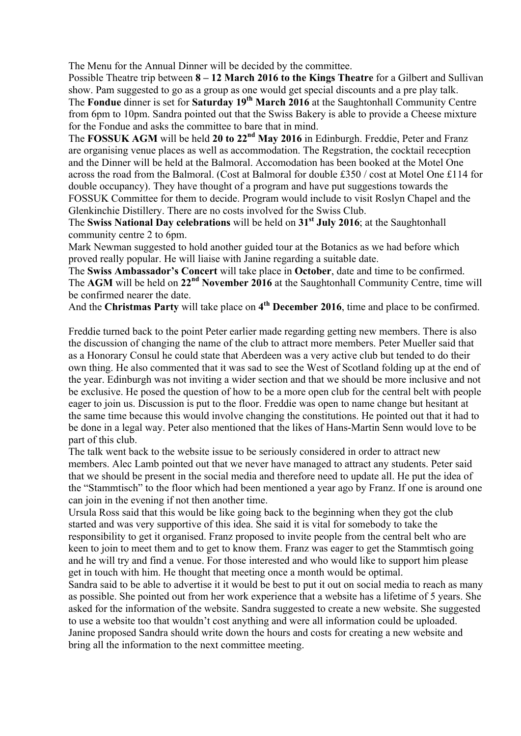The Menu for the Annual Dinner will be decided by the committee.

Possible Theatre trip between **8 – 12 March 2016 to the Kings Theatre** for a Gilbert and Sullivan show. Pam suggested to go as a group as one would get special discounts and a pre play talk. The **Fondue** dinner is set for **Saturday 19th March 2016** at the Saughtonhall Community Centre from 6pm to 10pm. Sandra pointed out that the Swiss Bakery is able to provide a Cheese mixture for the Fondue and asks the committee to bare that in mind.

The **FOSSUK AGM** will be held **20 to 22nd May 2016** in Edinburgh. Freddie, Peter and Franz are organising venue places as well as accommodation. The Regstration, the cocktail rececption and the Dinner will be held at the Balmoral. Accomodation has been booked at the Motel One across the road from the Balmoral. (Cost at Balmoral for double £350 / cost at Motel One £114 for double occupancy). They have thought of a program and have put suggestions towards the FOSSUK Committee for them to decide. Program would include to visit Roslyn Chapel and the Glenkinchie Distillery. There are no costs involved for the Swiss Club.

The **Swiss National Day celebrations** will be held on **31st July 2016**; at the Saughtonhall community centre 2 to 6pm.

Mark Newman suggested to hold another guided tour at the Botanics as we had before which proved really popular. He will liaise with Janine regarding a suitable date.

The **Swiss Ambassador's Concert** will take place in **October**, date and time to be confirmed. The **AGM** will be held on **22nd November 2016** at the Saughtonhall Community Centre, time will be confirmed nearer the date.

And the **Christmas Party** will take place on **4th December 2016**, time and place to be confirmed.

Freddie turned back to the point Peter earlier made regarding getting new members. There is also the discussion of changing the name of the club to attract more members. Peter Mueller said that as a Honorary Consul he could state that Aberdeen was a very active club but tended to do their own thing. He also commented that it was sad to see the West of Scotland folding up at the end of the year. Edinburgh was not inviting a wider section and that we should be more inclusive and not be exclusive. He posed the question of how to be a more open club for the central belt with people eager to join us. Discussion is put to the floor. Freddie was open to name change but hesitant at the same time because this would involve changing the constitutions. He pointed out that it had to be done in a legal way. Peter also mentioned that the likes of Hans-Martin Senn would love to be part of this club.

The talk went back to the website issue to be seriously considered in order to attract new members. Alec Lamb pointed out that we never have managed to attract any students. Peter said that we should be present in the social media and therefore need to update all. He put the idea of the "Stammtisch" to the floor which had been mentioned a year ago by Franz. If one is around one can join in the evening if not then another time.

Ursula Ross said that this would be like going back to the beginning when they got the club started and was very supportive of this idea. She said it is vital for somebody to take the responsibility to get it organised. Franz proposed to invite people from the central belt who are keen to join to meet them and to get to know them. Franz was eager to get the Stammtisch going and he will try and find a venue. For those interested and who would like to support him please get in touch with him. He thought that meeting once a month would be optimal.

Sandra said to be able to advertise it it would be best to put it out on social media to reach as many as possible. She pointed out from her work experience that a website has a lifetime of 5 years. She asked for the information of the website. Sandra suggested to create a new website. She suggested to use a website too that wouldn't cost anything and were all information could be uploaded. Janine proposed Sandra should write down the hours and costs for creating a new website and bring all the information to the next committee meeting.